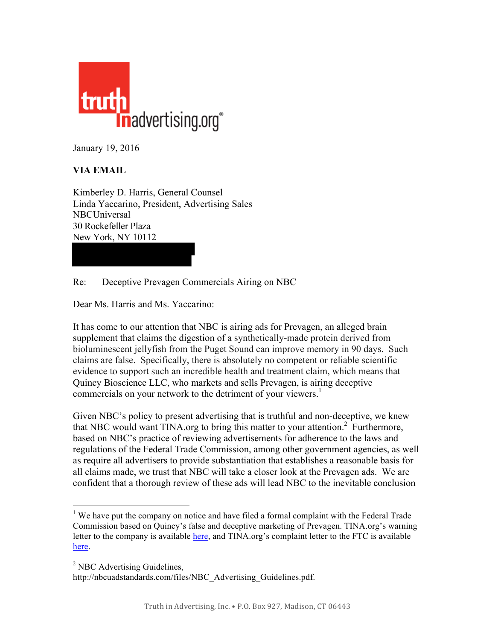

January 19, 2016

## **VIA EMAIL**

Kimberley D. Harris, General Counsel Linda Yaccarino, President, Advertising Sales **NBCUniversal** 30 Rockefeller Plaza New York, NY 10112

Re: Deceptive Prevagen Commercials Airing on NBC

Dear Ms. Harris and Ms. Yaccarino:

It has come to our attention that NBC is airing ads for Prevagen, an alleged brain supplement that claims the digestion of a synthetically-made protein derived from bioluminescent jellyfish from the Puget Sound can improve memory in 90 days. Such claims are false. Specifically, there is absolutely no competent or reliable scientific evidence to support such an incredible health and treatment claim, which means that Quincy Bioscience LLC, who markets and sells Prevagen, is airing deceptive commercials on your network to the detriment of your viewers.<sup>1</sup>

Given NBC's policy to present advertising that is truthful and non-deceptive, we knew that NBC would want TINA.org to bring this matter to your attention. <sup>2</sup> Furthermore, based on NBC's practice of reviewing advertisements for adherence to the laws and regulations of the Federal Trade Commission, among other government agencies, as well as require all advertisers to provide substantiation that establishes a reasonable basis for all claims made, we trust that NBC will take a closer look at the Prevagen ads. We are confident that a thorough review of these ads will lead NBC to the inevitable conclusion

<sup>&</sup>lt;sup>1</sup> We have put the company on notice and have filed a formal complaint with the Federal Trade Commission based on Quincy's false and deceptive marketing of Prevagen. TINA.org's warning letter to the company is available [here,](https://www.truthinadvertising.org/wp-content/uploads/2015/09/Ltr-from-TINA-to-Quincy-Bioscience-re-Prevagen_Redacted.pdf) and TINA.org's complaint letter to the FTC is available [here.](https://www.truthinadvertising.org/wp-content/uploads/2015/09/Complaint-ltr-from-TINA-to-FTC-re-Prevagen.pdf)

<sup>&</sup>lt;sup>2</sup> NBC Advertising Guidelines,

[http://nbcuadstandards.com/files/NBC\\_Advertising\\_Guidelines.pdf.](http://nbcuadstandards.com/files/NBC_Advertising_Guidelines.pdf)